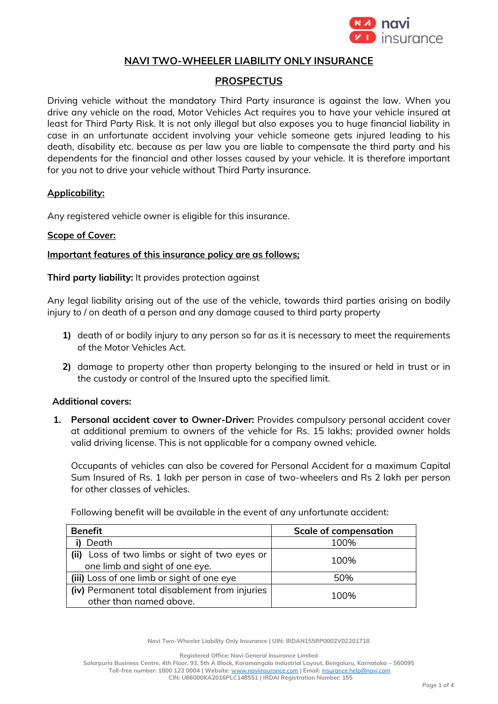

### **NAVI TWO-WHEELER LIABILITY ONLY INSURANCE**

# **PROSPECTUS**

Driving vehicle without the mandatory Third Party insurance is against the law. When you drive any vehicle on the road, Motor Vehicles Act requires you to have your vehicle insured at least for Third Party Risk. It is not only illegal but also exposes you to huge financial liability in case in an unfortunate accident involving your vehicle someone gets injured leading to his death, disability etc. because as per law you are liable to compensate the third party and his dependents for the financial and other losses caused by your vehicle. It is therefore important for you not to drive your vehicle without Third Party insurance.

### **Applicability:**

Any registered vehicle owner is eligible for this insurance.

### **Scope of Cover:**

### **Important features of this insurance policy are as follows;**

**Third party liability:** It provides protection against

Any legal liability arising out of the use of the vehicle, towards third parties arising on bodily injury to / on death of a person and any damage caused to third party property

- **1)** death of or bodily injury to any person so far as it is necessary to meet the requirements of the Motor Vehicles Act.
- **2)** damage to property other than property belonging to the insured or held in trust or in the custody or control of the Insured upto the specified limit.

### **Additional covers:**

**1. Personal accident cover to Owner-Driver:** Provides compulsory personal accident cover at additional premium to owners of the vehicle for Rs. 15 lakhs; provided owner holds valid driving license. This is not applicable for a company owned vehicle.

Occupants of vehicles can also be covered for Personal Accident for a maximum Capital Sum Insured of Rs. 1 lakh per person in case of two-wheelers and Rs 2 lakh per person for other classes of vehicles.

Following benefit will be available in the event of any unfortunate accident:

| <b>Benefit</b>                                 | <b>Scale of compensation</b> |
|------------------------------------------------|------------------------------|
| Death                                          | 100%                         |
| (ii) Loss of two limbs or sight of two eyes or | 100%                         |
| one limb and sight of one eye.                 |                              |
| (iii) Loss of one limb or sight of one eye     | 50%                          |
| (iv) Permanent total disablement from injuries | 100%                         |
| other than named above.                        |                              |

**Navi Two-Wheeler Liability Only Insurance | UIN: IRDAN155RP0002V02201718**

**Registered Office: Navi General Insurance Limited**

**Salarpuria Business Centre, 4th Floor, 93, 5th A Block, Koramangala Industrial Layout, Bengaluru, Karnataka – 560095 Toll-free number: 1800 123 0004 | Website:** [www.naviinsurance.com](http://www.naviinsurance.com/) **| Email:** [insurance.help@navi.com](mailto:insurance.help@navi.com) **CIN: U66000KA2016PLC148551 | IRDAI Registration Number: 155**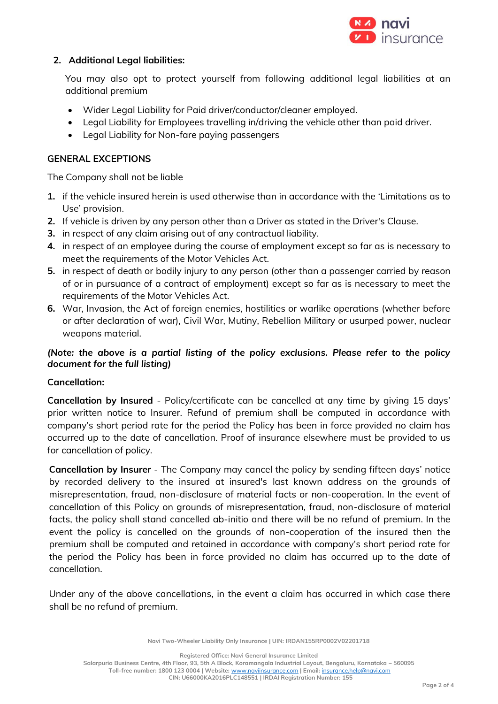

# **2. Additional Legal liabilities:**

You may also opt to protect yourself from following additional legal liabilities at an additional premium

- Wider Legal Liability for Paid driver/conductor/cleaner employed.
- Legal Liability for Employees travelling in/driving the vehicle other than paid driver.
- Legal Liability for Non-fare paying passengers

# **GENERAL EXCEPTIONS**

The Company shall not be liable

- **1.** if the vehicle insured herein is used otherwise than in accordance with the 'Limitations as to Use' provision.
- **2.** If vehicle is driven by any person other than a Driver as stated in the Driver's Clause.
- **3.** in respect of any claim arising out of any contractual liability.
- **4.** in respect of an employee during the course of employment except so far as is necessary to meet the requirements of the Motor Vehicles Act.
- **5.** in respect of death or bodily injury to any person (other than a passenger carried by reason of or in pursuance of a contract of employment) except so far as is necessary to meet the requirements of the Motor Vehicles Act.
- **6.** War, Invasion, the Act of foreign enemies, hostilities or warlike operations (whether before or after declaration of war), Civil War, Mutiny, Rebellion Military or usurped power, nuclear weapons material.

# *(Note: the above is a partial listing of the policy exclusions. Please refer to the policy document for the full listing)*

### **Cancellation:**

**Cancellation by Insured** - Policy/certificate can be cancelled at any time by giving 15 days' prior written notice to Insurer. Refund of premium shall be computed in accordance with company's short period rate for the period the Policy has been in force provided no claim has occurred up to the date of cancellation. Proof of insurance elsewhere must be provided to us for cancellation of policy.

**Cancellation by Insurer** - The Company may cancel the policy by sending fifteen days' notice by recorded delivery to the insured at insured's last known address on the grounds of misrepresentation, fraud, non-disclosure of material facts or non-cooperation. In the event of cancellation of this Policy on grounds of misrepresentation, fraud, non-disclosure of material facts, the policy shall stand cancelled ab-initio and there will be no refund of premium. In the event the policy is cancelled on the grounds of non-cooperation of the insured then the premium shall be computed and retained in accordance with company's short period rate for the period the Policy has been in force provided no claim has occurred up to the date of cancellation.

Under any of the above cancellations, in the event a claim has occurred in which case there shall be no refund of premium.

**Navi Two-Wheeler Liability Only Insurance | UIN: IRDAN155RP0002V02201718**

**Registered Office: Navi General Insurance Limited**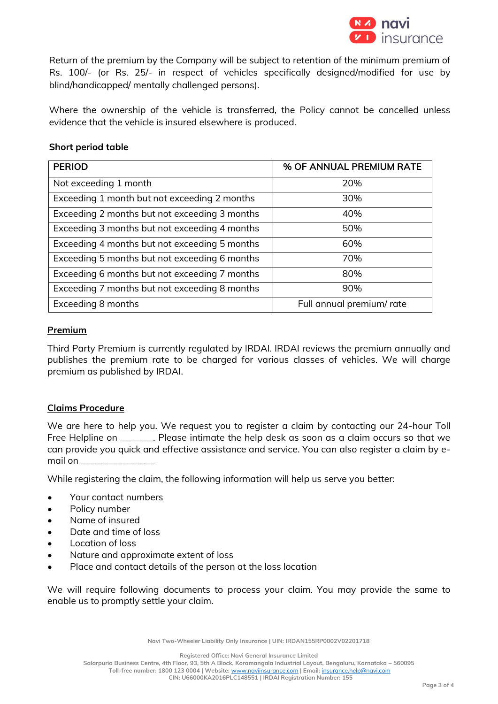

Return of the premium by the Company will be subject to retention of the minimum premium of Rs. 100/- (or Rs. 25/- in respect of vehicles specifically designed/modified for use by blind/handicapped/ mentally challenged persons).

Where the ownership of the vehicle is transferred, the Policy cannot be cancelled unless evidence that the vehicle is insured elsewhere is produced.

#### **Short period table**

| <b>PERIOD</b>                                 | % OF ANNUAL PREMIUM RATE |
|-----------------------------------------------|--------------------------|
| Not exceeding 1 month                         | 20%                      |
| Exceeding 1 month but not exceeding 2 months  | 30%                      |
| Exceeding 2 months but not exceeding 3 months | 40%                      |
| Exceeding 3 months but not exceeding 4 months | 50%                      |
| Exceeding 4 months but not exceeding 5 months | 60%                      |
| Exceeding 5 months but not exceeding 6 months | 70%                      |
| Exceeding 6 months but not exceeding 7 months | 80%                      |
| Exceeding 7 months but not exceeding 8 months | 90%                      |
| Exceeding 8 months                            | Full annual premium/rate |

#### **Premium**

Third Party Premium is currently regulated by IRDAI. IRDAI reviews the premium annually and publishes the premium rate to be charged for various classes of vehicles. We will charge premium as published by IRDAI.

### **Claims Procedure**

We are here to help you. We request you to register a claim by contacting our 24-hour Toll Free Helpline on \_\_\_\_\_\_\_. Please intimate the help desk as soon as a claim occurs so that we can provide you quick and effective assistance and service. You can also register a claim by email on \_\_\_\_\_\_\_\_\_\_\_\_\_\_\_\_

While registering the claim, the following information will help us serve you better:

- Your contact numbers
- Policy number
- Name of insured
- Date and time of loss
- Location of loss
- Nature and approximate extent of loss
- Place and contact details of the person at the loss location

We will require following documents to process your claim. You may provide the same to enable us to promptly settle your claim.

**Navi Two-Wheeler Liability Only Insurance | UIN: IRDAN155RP0002V02201718**

**Registered Office: Navi General Insurance Limited Salarpuria Business Centre, 4th Floor, 93, 5th A Block, Koramangala Industrial Layout, Bengaluru, Karnataka – 560095 Toll-free number: 1800 123 0004 | Website:** [www.naviinsurance.com](http://www.naviinsurance.com/) **| Email:** [insurance.help@navi.com](mailto:insurance.help@navi.com) **CIN: U66000KA2016PLC148551 | IRDAI Registration Number: 155**